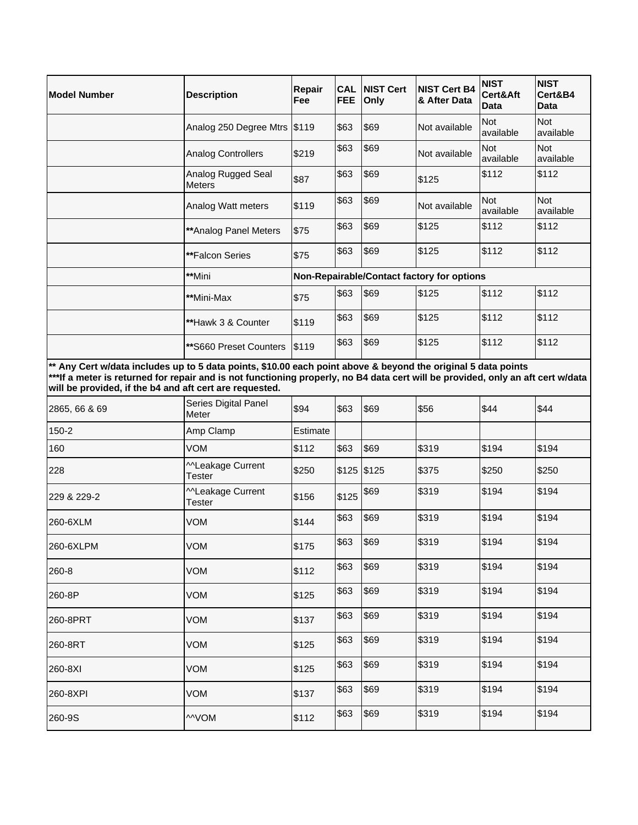| <b>Model Number</b>                                                                                                                                                                                                                                                                                         | <b>Description</b>                  | Repair<br>Fee                              | <b>CAL</b><br><b>FEE</b> | <b>NIST Cert</b><br>Only | <b>NIST Cert B4</b><br>& After Data | <b>NIST</b><br>Cert&Aft<br>Data | <b>NIST</b><br>Cert&B4<br>Data |
|-------------------------------------------------------------------------------------------------------------------------------------------------------------------------------------------------------------------------------------------------------------------------------------------------------------|-------------------------------------|--------------------------------------------|--------------------------|--------------------------|-------------------------------------|---------------------------------|--------------------------------|
|                                                                                                                                                                                                                                                                                                             | Analog 250 Degree Mtrs \$119        |                                            | \$63                     | \$69                     | Not available                       | <b>Not</b><br>available         | <b>Not</b><br>available        |
|                                                                                                                                                                                                                                                                                                             | <b>Analog Controllers</b>           | \$219                                      | \$63                     | \$69                     | Not available                       | <b>Not</b><br>available         | <b>Not</b><br>available        |
|                                                                                                                                                                                                                                                                                                             | Analog Rugged Seal<br><b>Meters</b> | \$87                                       | \$63                     | \$69                     | \$125                               | \$112                           | \$112                          |
|                                                                                                                                                                                                                                                                                                             | Analog Watt meters                  | \$119                                      | \$63                     | \$69                     | Not available                       | <b>Not</b><br>available         | <b>Not</b><br>available        |
|                                                                                                                                                                                                                                                                                                             | ** Analog Panel Meters              | \$75                                       | \$63                     | \$69                     | \$125                               | \$112                           | \$112                          |
|                                                                                                                                                                                                                                                                                                             | **Falcon Series                     | \$75                                       | \$63                     | \$69                     | \$125                               | \$112                           | \$112                          |
|                                                                                                                                                                                                                                                                                                             | **Mini                              | Non-Repairable/Contact factory for options |                          |                          |                                     |                                 |                                |
|                                                                                                                                                                                                                                                                                                             | **Mini-Max                          | \$75                                       | \$63                     | \$69                     | \$125                               | \$112                           | \$112                          |
|                                                                                                                                                                                                                                                                                                             | **Hawk 3 & Counter                  | \$119                                      | \$63                     | \$69                     | \$125                               | \$112                           | \$112                          |
|                                                                                                                                                                                                                                                                                                             | **S660 Preset Counters              | <b>S119</b>                                | \$63                     | \$69                     | \$125                               | \$112                           | \$112                          |
| ** Any Cert w/data includes up to 5 data points, \$10.00 each point above & beyond the original 5 data points<br>***If a meter is returned for repair and is not functioning properly, no B4 data cert will be provided, only an aft cert w/data<br>will be provided, if the b4 and aft cert are requested. |                                     |                                            |                          |                          |                                     |                                 |                                |

| Series Digital Panel<br>Meter | \$94     | \$63  | \$69 | \$56                 | \$44  | \$44  |
|-------------------------------|----------|-------|------|----------------------|-------|-------|
| Amp Clamp                     | Estimate |       |      |                      |       |       |
| VOM                           | \$112    | \$63  | \$69 | \$319                | \$194 | \$194 |
| MLeakage Current<br>Tester    | \$250    |       |      | \$375                | \$250 | \$250 |
| MLeakage Current<br>Tester    | \$156    | \$125 |      | \$319                | \$194 | \$194 |
| <b>VOM</b>                    | \$144    | \$63  | \$69 | \$319                | \$194 | \$194 |
| <b>VOM</b>                    | \$175    | \$63  | \$69 | \$319                | \$194 | \$194 |
| VOM                           | \$112    | \$63  | \$69 | \$319                | \$194 | \$194 |
| <b>VOM</b>                    | \$125    | \$63  | \$69 | \$319                | \$194 | \$194 |
| <b>VOM</b>                    | \$137    | \$63  | \$69 | \$319                | \$194 | \$194 |
| <b>VOM</b>                    | \$125    | \$63  | \$69 | \$319                | \$194 | \$194 |
| VOM                           | \$125    | \$63  | \$69 | \$319                | \$194 | \$194 |
| <b>VOM</b>                    | \$137    | \$63  | \$69 | \$319                | \$194 | \$194 |
| <b>MVOM</b>                   | \$112    | \$63  | \$69 | \$319                | \$194 | \$194 |
|                               |          |       |      | $$125$ \$125<br>\$69 |       |       |